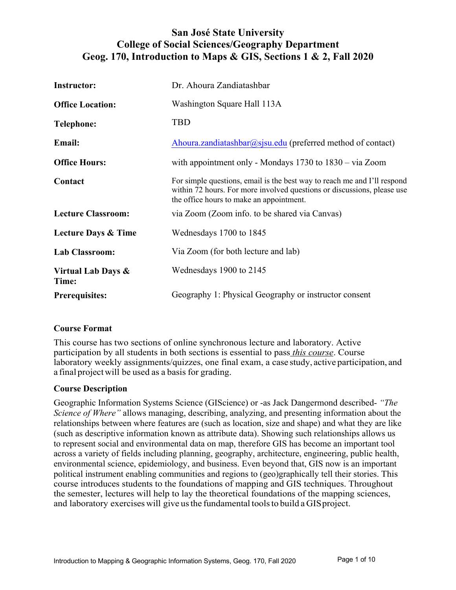# **San José State University College of Social Sciences/Geography Department Geog. 170, Introduction to Maps & GIS, Sections 1 & 2, Fall 2020**

| <b>Instructor:</b>             | Dr. Ahoura Zandiatashbar                                                                                                                                                                        |
|--------------------------------|-------------------------------------------------------------------------------------------------------------------------------------------------------------------------------------------------|
| <b>Office Location:</b>        | Washington Square Hall 113A                                                                                                                                                                     |
| <b>Telephone:</b>              | <b>TBD</b>                                                                                                                                                                                      |
| Email:                         | Ahoura.zandiatashbar@sjsu.edu (preferred method of contact)                                                                                                                                     |
| <b>Office Hours:</b>           | with appointment only - Mondays $1730$ to $1830 - via Zoom$                                                                                                                                     |
| Contact                        | For simple questions, email is the best way to reach me and I'll respond<br>within 72 hours. For more involved questions or discussions, please use<br>the office hours to make an appointment. |
| <b>Lecture Classroom:</b>      | via Zoom (Zoom info. to be shared via Canvas)                                                                                                                                                   |
| <b>Lecture Days &amp; Time</b> | Wednesdays 1700 to 1845                                                                                                                                                                         |
| <b>Lab Classroom:</b>          | Via Zoom (for both lecture and lab)                                                                                                                                                             |
| Virtual Lab Days &<br>Time:    | Wednesdays 1900 to 2145                                                                                                                                                                         |
| <b>Prerequisites:</b>          | Geography 1: Physical Geography or instructor consent                                                                                                                                           |

## **Course Format**

This course has two sections of online synchronous lecture and laboratory. Active participation by all students in both sections is essential to pass *this course*. Course laboratory weekly assignments/quizzes, one final exam, a case study, active participation, and a final projectwill be used as a basis for grading.

## **Course Description**

Geographic Information Systems Science (GIScience) or -as Jack Dangermond described- *"The Science of Where"* allows managing, describing, analyzing, and presenting information about the relationships between where features are (such as location, size and shape) and what they are like (such as descriptive information known as attribute data). Showing such relationships allows us to represent social and environmental data on map, therefore GIS has become an important tool across a variety of fields including planning, geography, architecture, engineering, public health, environmental science, epidemiology, and business. Even beyond that, GIS now is an important political instrument enabling communities and regions to (geo)graphically tell their stories. This course introduces students to the foundations of mapping and GIS techniques. Throughout the semester, lectures will help to lay the theoretical foundations of the mapping sciences, and laboratory exercises will give us the fundamental tools to build a GIS project.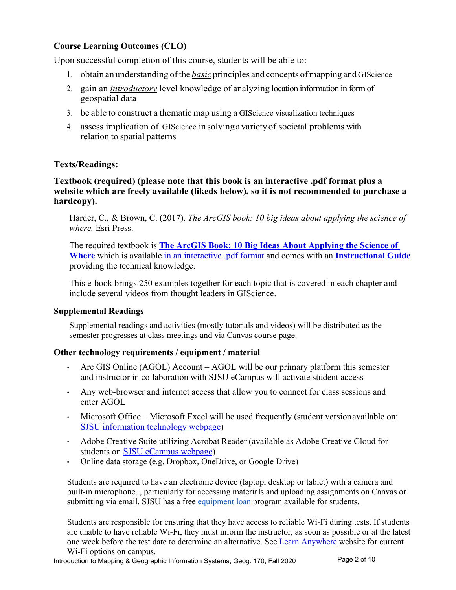## **Course Learning Outcomes (CLO)**

Upon successful completion of this course, students will be able to:

- 1. obtain an understanding ofthe *basic* principles and concepts ofmapping and GIScience
- 2. gain an *introductory* level knowledge of analyzing location information in form of geospatial data
- 3. be able to construct a thematic map using a GIScience visualization techniques
- 4. assess implication of GIScience insolvingavarietyof societal problems with relation to spatial patterns

## **Texts/Readings:**

#### **Textbook (required) (please note that this book is an interactive .pdf format plus a website which are freely available (likeds below), so it is not recommended to purchase a hardcopy).**

Harder, C., & Brown, C. (2017). *The ArcGIS book: 10 big ideas about applying the science of where.* Esri Press.

The required textbook is **The ArcGIS Book: 10 Big Ideas About Applying the Science of Where** which is available in an interactive .pdf format and comes with an **Instructional Guide** providing the technical knowledge.

This e-book brings 250 examples together for each topic that is covered in each chapter and include several videos from thought leaders in GIScience.

#### **Supplemental Readings**

Supplemental readings and activities (mostly tutorials and videos) will be distributed as the semester progresses at class meetings and via Canvas course page.

## **Other technology requirements / equipment / material**

- Arc GIS Online (AGOL) Account AGOL will be our primary platform this semester and instructor in collaboration with SJSU eCampus will activate student access
- Any web-browser and internet access that allow you to connect for class sessions and enter AGOL
- Microsoft Office Microsoft Excel will be used frequently (student versionavailable on: SJSU information technology webpage)
- Adobe Creative Suite utilizing Acrobat Reader (available as Adobe Creative Cloud for students on SJSU eCampus webpage)
- Online data storage (e.g. Dropbox, OneDrive, or Google Drive)

Students are required to have an electronic device (laptop, desktop or tablet) with a camera and built-in microphone. , particularly for accessing materials and uploading assignments on Canvas or submitting via email. SJSU has a free equipment loan program available for students.

Students are responsible for ensuring that they have access to reliable Wi-Fi during tests. If students are unable to have reliable Wi-Fi, they must inform the instructor, as soon as possible or at the latest one week before the test date to determine an alternative. See Learn Anywhere website for current Wi-Fi options on campus.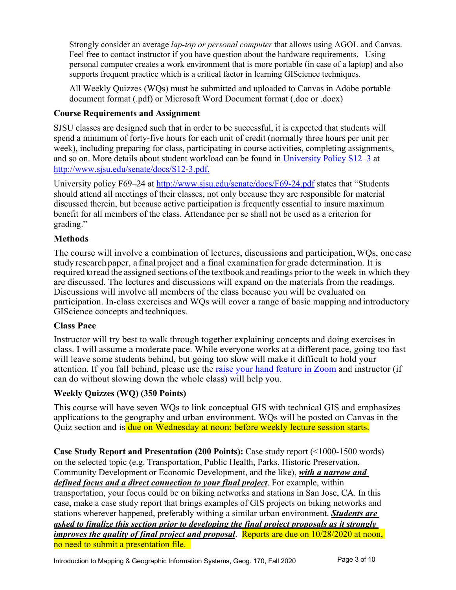Strongly consider an average *lap-top or personal computer* that allows using AGOL and Canvas. Feel free to contact instructor if you have question about the hardware requirements. Using personal computer creates a work environment that is more portable (in case of a laptop) and also supports frequent practice which is a critical factor in learning GIScience techniques.

All Weekly Quizzes (WQs) must be submitted and uploaded to Canvas in Adobe portable document format (.pdf) or Microsoft Word Document format (.doc or .docx)

## **Course Requirements and Assignment**

SJSU classes are designed such that in order to be successful, it is expected that students will spend a minimum of forty-five hours for each unit of credit (normally three hours per unit per week), including preparing for class, participating in course activities, completing assignments, and so on. More details about student workload can be found in University Policy S12–3 at http://www.sjsu.edu/senate/docs/S12-3.pdf.

University policy F69–24 at http://www.sjsu.edu/senate/docs/F69-24.pdf states that "Students should attend all meetings of their classes, not only because they are responsible for material discussed therein, but because active participation is frequently essential to insure maximum benefit for all members of the class. Attendance per se shall not be used as a criterion for grading."

## **Methods**

The course will involve a combination of lectures, discussions and participation,WQs, one case study research paper, a final project and a final examination for grade determination. It is required to read the assigned sections of the textbook and readings prior to the week in which they are discussed. The lectures and discussions will expand on the materials from the readings. Discussions will involve all members of the class because you will be evaluated on participation. In-class exercises and WQs will cover a range of basic mapping andintroductory GIScience concepts and techniques.

## **Class Pace**

Instructor will try best to walk through together explaining concepts and doing exercises in class. I will assume a moderate pace. While everyone works at a different pace, going too fast will leave some students behind, but going too slow will make it difficult to hold your attention. If you fall behind, please use the raise your hand feature in Zoom and instructor (if can do without slowing down the whole class) will help you.

# **Weekly Quizzes (WQ) (350 Points)**

This course will have seven WQs to link conceptual GIS with technical GIS and emphasizes applications to the geography and urban environment. WQs will be posted on Canvas in the Quiz section and is due on Wednesday at noon; before weekly lecture session starts.

**Case Study Report and Presentation (200 Points):** Case study report (<1000-1500 words) on the selected topic (e.g. Transportation, Public Health, Parks, Historic Preservation, Community Development or Economic Development, and the like), *with a narrow and defined focus and a direct connection to your final project*. For example, within transportation, your focus could be on biking networks and stations in San Jose, CA. In this case, make a case study report that brings examples of GIS projects on biking networks and stations wherever happened, preferably withing a similar urban environment. *Students are asked to finalize this section prior to developing the final project proposals as it strongly improves the quality of final project and proposal.* Reports are due on 10/28/2020 at noon, no need to submit a presentation file.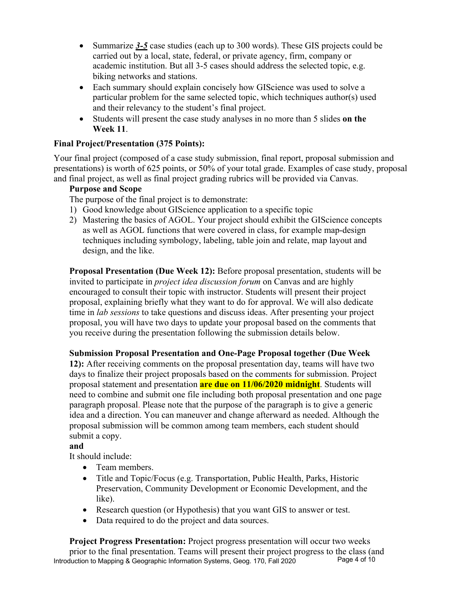- Summarize 3-5 case studies (each up to 300 words). These GIS projects could be carried out by a local, state, federal, or private agency, firm, company or academic institution. But all 3-5 cases should address the selected topic, e.g. biking networks and stations.
- Each summary should explain concisely how GIScience was used to solve a particular problem for the same selected topic, which techniques author(s) used and their relevancy to the student's final project.
- Students will present the case study analyses in no more than 5 slides **on the Week 11**.

# **Final Project/Presentation (375 Points):**

Your final project (composed of a case study submission, final report, proposal submission and presentations) is worth of 625 points, or 50% of your total grade. Examples of case study, proposal and final project, as well as final project grading rubrics will be provided via Canvas.

## **Purpose and Scope**

The purpose of the final project is to demonstrate:

- 1) Good knowledge about GIScience application to a specific topic
- 2) Mastering the basics of AGOL. Your project should exhibit the GIScience concepts as well as AGOL functions that were covered in class, for example map-design techniques including symbology, labeling, table join and relate, map layout and design, and the like.

**Proposal Presentation (Due Week 12):** Before proposal presentation, students will be invited to participate in *project idea discussion forum* on Canvas and are highly encouraged to consult their topic with instructor. Students will present their project proposal, explaining briefly what they want to do for approval. We will also dedicate time in *lab sessions* to take questions and discuss ideas. After presenting your project proposal, you will have two days to update your proposal based on the comments that you receive during the presentation following the submission details below.

# **Submission Proposal Presentation and One-Page Proposal together (Due Week**

**12):** After receiving comments on the proposal presentation day, teams will have two days to finalize their project proposals based on the comments for submission. Project proposal statement and presentation **are due on 11/06/2020 midnight**. Students will need to combine and submit one file including both proposal presentation and one page paragraph proposal. Please note that the purpose of the paragraph is to give a generic idea and a direction. You can maneuver and change afterward as needed. Although the proposal submission will be common among team members, each student should submit a copy.

# **and**

It should include:

- Team members.
- Title and Topic/Focus (e.g. Transportation, Public Health, Parks, Historic Preservation, Community Development or Economic Development, and the like).
- Research question (or Hypothesis) that you want GIS to answer or test.
- Data required to do the project and data sources.

Introduction to Mapping & Geographic Information Systems, Geog. 170, Fall 2020 **Project Progress Presentation:** Project progress presentation will occur two weeks prior to the final presentation. Teams will present their project progress to the class (and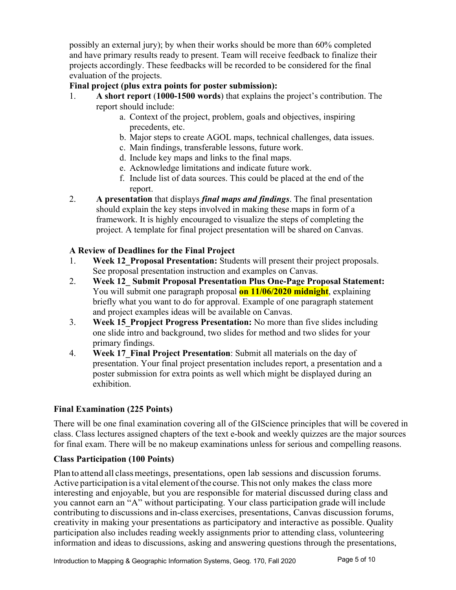possibly an external jury); by when their works should be more than 60% completed and have primary results ready to present. Team will receive feedback to finalize their projects accordingly. These feedbacks will be recorded to be considered for the final evaluation of the projects.

## **Final project (plus extra points for poster submission):**

- 1. **A short report** (**1000-1500 words**) that explains the project's contribution. The report should include:
	- a. Context of the project, problem, goals and objectives, inspiring precedents, etc.
	- b. Major steps to create AGOL maps, technical challenges, data issues.
	- c. Main findings, transferable lessons, future work.
	- d. Include key maps and links to the final maps.
	- e. Acknowledge limitations and indicate future work.
	- f. Include list of data sources. This could be placed at the end of the report.
- 2. **A presentation** that displays *final maps and findings*. The final presentation should explain the key steps involved in making these maps in form of a framework. It is highly encouraged to visualize the steps of completing the project. A template for final project presentation will be shared on Canvas.

# **A Review of Deadlines for the Final Project**

- 1. **Week 12\_Proposal Presentation:** Students will present their project proposals. See proposal presentation instruction and examples on Canvas.
- 2. **Week 12\_ Submit Proposal Presentation Plus One-Page Proposal Statement:** You will submit one paragraph proposal **on 11/06/2020 midnight**, explaining briefly what you want to do for approval. Example of one paragraph statement and project examples ideas will be available on Canvas.
- 3. **Week 15\_Propject Progress Presentation:** No more than five slides including one slide intro and background, two slides for method and two slides for your primary findings.
- 4. **Week 17\_Final Project Presentation**: Submit all materials on the day of presentation. Your final project presentation includes report, a presentation and a poster submission for extra points as well which might be displayed during an exhibition.

# **Final Examination (225 Points)**

There will be one final examination covering all of the GIScience principles that will be covered in class. Class lectures assigned chapters of the text e-book and weekly quizzes are the major sources for final exam. There will be no makeup examinations unless for serious and compelling reasons.

# **Class Participation (100 Points)**

Plan to attend all classmeetings, presentations, open lab sessions and discussion forums. Active participation is a vital element of the course. This not only makes the class more interesting and enjoyable, but you are responsible for material discussed during class and you cannot earn an "A" without participating. Your class participation grade will include contributing to discussions and in-class exercises, presentations, Canvas discussion forums, creativity in making your presentations as participatory and interactive as possible. Quality participation also includes reading weekly assignments prior to attending class, volunteering information and ideas to discussions, asking and answering questions through the presentations,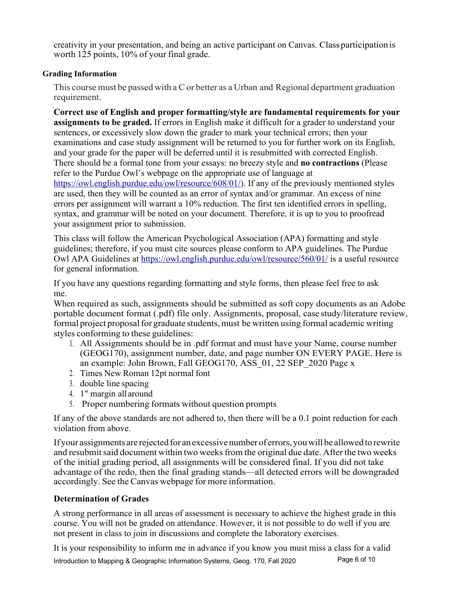creativity in your presentation, and being an active participant on Canvas. Classparticipationis worth 125 points, 10% of your final grade.

## **Grading Information**

This course must be passed with a C or better as a Urban and Regional department graduation requirement.

**Correct use of English and proper formatting/style are fundamental requirements for your assignments to be graded.** If errors in English make it difficult for a grader to understand your sentences, or excessively slow down the grader to mark your technical errors; then your examinations and case study assignment will be returned to you for further work on its English, and your grade for the paper will be deferred until it is resubmitted with corrected English. There should be a formal tone from your essays: no breezy style and **no contractions** (Please refer to the Purdue Owl's webpage on the appropriate use of language at https://owl.english.purdue.edu/owl/resource/608/01/). If any of the previously mentioned styles are used, then they will be counted as an error of syntax and/or grammar. An excess of nine errors per assignment will warrant a 10% reduction. The first ten identified errors in spelling, syntax, and grammar will be noted on your document. Therefore, it is up to you to proofread your assignment prior to submission.

This class will follow the American Psychological Association (APA) formatting and style guidelines; therefore, if you must cite sources please conform to APA guidelines. The Purdue Owl APA Guidelines at https://owl.english.purdue.edu/owl/resource/560/01/ is a useful resource for general information.

If you have any questions regarding formatting and style forms, then please feel free to ask me.

When required as such, assignments should be submitted as soft copy documents as an Adobe portable document format (.pdf) file only. Assignments, proposal, case study/literature review, formal project proposal for graduate students, must be written using formal academic writing styles conforming to these guidelines:

- 1. All Assignments should be in .pdf format and must have your Name, course number (GEOG170), assignment number, date, and page number ON EVERY PAGE. Here is an example: John Brown, Fall GEOG170, ASS\_01, 22 SEP\_2020 Page x
- 2. Times New Roman 12pt normal font
- 3. double line spacing
- 4. 1" margin all around
- 5. Proper numbering formats without question prompts

If any of the above standards are not adhered to, then there will be a 0.1 point reduction for each violation from above.

If your assignments are rejected for an excessive number of errors, you will be allowed to rewrite and resubmit said document within two weeks from the original due date. After the two weeks of the initial grading period, all assignments will be considered final. If you did not take advantage of the redo, then the final grading stands—all detected errors will be downgraded accordingly. See the Canvas webpage for more information.

## **Determination of Grades**

A strong performance in all areas of assessment is necessary to achieve the highest grade in this course. You will not be graded on attendance. However, it is not possible to do well if you are not present in class to join in discussions and complete the laboratory exercises.

Introduction to Mapping & Geographic Information Systems, Geog. 170, Fall 2020 Page 6 of 10 It is your responsibility to inform me in advance if you know you must miss a class for a valid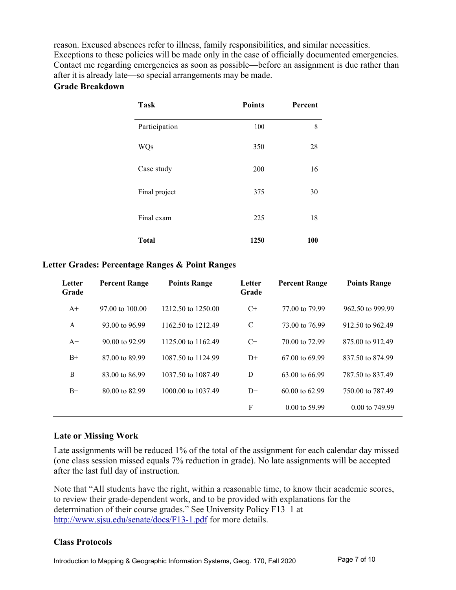reason. Excused absences refer to illness, family responsibilities, and similar necessities. Exceptions to these policies will be made only in the case of officially documented emergencies. Contact me regarding emergencies as soon as possible—before an assignment is due rather than after it is already late—so special arrangements may be made.

## **Grade Breakdown**

| <b>Task</b>   | <b>Points</b> | Percent |
|---------------|---------------|---------|
| Participation | 100           | 8       |
| <b>WQs</b>    | 350           | 28      |
| Case study    | 200           | 16      |
| Final project | 375           | 30      |
| Final exam    | 225           | 18      |
| <b>Total</b>  | 1250          | 100     |

#### **Letter Grades: Percentage Ranges & Point Ranges**

| Letter<br>Grade | <b>Percent Range</b>      | <b>Points Range</b> | Letter<br>Grade | <b>Percent Range</b>      | <b>Points Range</b>       |
|-----------------|---------------------------|---------------------|-----------------|---------------------------|---------------------------|
| $A+$            | 97.00 to 100.00           | 1212.50 to 1250.00  | $C+$            | 77.00 to 79.99            | 962.50 to 999.99          |
| A               | 93.00 to 96.99            | 1162.50 to 1212.49  | $\mathcal{C}$   | 73.00 to 76.99            | 912.50 to 962.49          |
| $A^{-}$         | $90.00 \text{ to } 92.99$ | 1125,00 to 1162.49  | $C-$            | 70.00 to 72.99            | 875,00 to 912.49          |
| $B+$            | 87,00 to 89.99            | 1087.50 to 1124.99  | $D+$            | $67.00 \text{ to } 69.99$ | 837.50 to 874.99          |
| B               | 83,00 to 86.99            | 1037.50 to 1087.49  | D               | 63.00 to 66.99            | 787.50 to 837.49          |
| $B-$            | 80.00 to 82.99            | 1000.00 to 1037.49  | $D-$            | $60.00$ to $62.99$        | 750.00 to 787.49          |
|                 |                           |                     | F               | $0.00 \text{ to } 59.99$  | $0.00 \text{ to } 749.99$ |

#### **Late or Missing Work**

Late assignments will be reduced 1% of the total of the assignment for each calendar day missed (one class session missed equals 7% reduction in grade). No late assignments will be accepted after the last full day of instruction.

Note that "All students have the right, within a reasonable time, to know their academic scores, to review their grade-dependent work, and to be provided with explanations for the determination of their course grades." See University Policy F13–1 at http://www.sjsu.edu/senate/docs/F13-1.pdf for more details.

## **Class Protocols**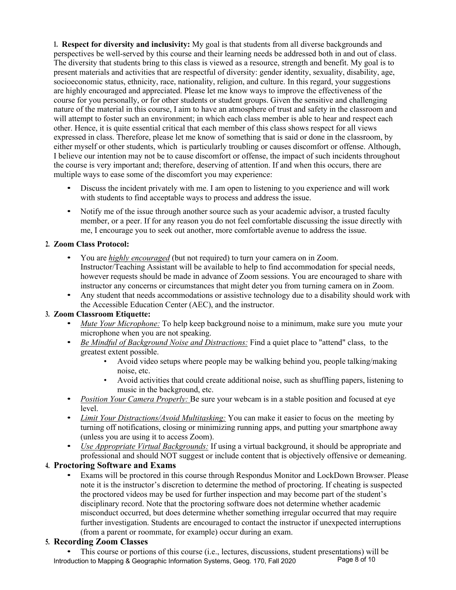**1. Respect for diversity and inclusivity:** My goal is that students from all diverse backgrounds and perspectives be well-served by this course and their learning needs be addressed both in and out of class. The diversity that students bring to this class is viewed as a resource, strength and benefit. My goal is to present materials and activities that are respectful of diversity: gender identity, sexuality, disability, age, socioeconomic status, ethnicity, race, nationality, religion, and culture. In this regard, your suggestions are highly encouraged and appreciated. Please let me know ways to improve the effectiveness of the course for you personally, or for other students or student groups. Given the sensitive and challenging nature of the material in this course, I aim to have an atmosphere of trust and safety in the classroom and will attempt to foster such an environment; in which each class member is able to hear and respect each other. Hence, it is quite essential critical that each member of this class shows respect for all views expressed in class. Therefore, please let me know of something that is said or done in the classroom, by either myself or other students, which is particularly troubling or causes discomfort or offense. Although, I believe our intention may not be to cause discomfort or offense, the impact of such incidents throughout the course is very important and; therefore, deserving of attention. If and when this occurs, there are multiple ways to ease some of the discomfort you may experience:

- Discuss the incident privately with me. I am open to listening to you experience and will work with students to find acceptable ways to process and address the issue.
- Notify me of the issue through another source such as your academic advisor, a trusted faculty member, or a peer. If for any reason you do not feel comfortable discussing the issue directly with me, I encourage you to seek out another, more comfortable avenue to address the issue.

#### **2. Zoom Class Protocol:**

- You are *highly encouraged* (but not required) to turn your camera on in Zoom. Instructor/Teaching Assistant will be available to help to find accommodation for special needs, however requests should be made in advance of Zoom sessions. You are encouraged to share with instructor any concerns or circumstances that might deter you from turning camera on in Zoom.
- Any student that needs accommodations or assistive technology due to a disability should work with the Accessible Education Center (AEC), and the instructor.

#### **3. Zoom Classroom Etiquette:**

- *Mute Your Microphone:* To help keep background noise to a minimum, make sure you mute your microphone when you are not speaking.
- *Be Mindful of Background Noise and Distractions:* Find a quiet place to "attend" class, to the greatest extent possible.
	- Avoid video setups where people may be walking behind you, people talking/making noise, etc.
	- Avoid activities that could create additional noise, such as shuffling papers, listening to music in the background, etc.
- *Position Your Camera Properly:* Be sure your webcam is in a stable position and focused at eye level.
- *Limit Your Distractions/Avoid Multitasking:* You can make it easier to focus on the meeting by turning off notifications, closing or minimizing running apps, and putting your smartphone away (unless you are using it to access Zoom).
- *Use Appropriate Virtual Backgrounds:* If using a virtual background, it should be appropriate and professional and should NOT suggest or include content that is objectively offensive or demeaning.

#### **4. Proctoring Software and Exams**

• Exams will be proctored in this course through Respondus Monitor and LockDown Browser. Please note it is the instructor's discretion to determine the method of proctoring. If cheating is suspected the proctored videos may be used for further inspection and may become part of the student's disciplinary record. Note that the proctoring software does not determine whether academic misconduct occurred, but does determine whether something irregular occurred that may require further investigation. Students are encouraged to contact the instructor if unexpected interruptions (from a parent or roommate, for example) occur during an exam.

#### **5. Recording Zoom Classes**

Introduction to Mapping & Geographic Information Systems, Geog. 170, Fall 2020 Page 8 of 10 • This course or portions of this course (i.e., lectures, discussions, student presentations) will be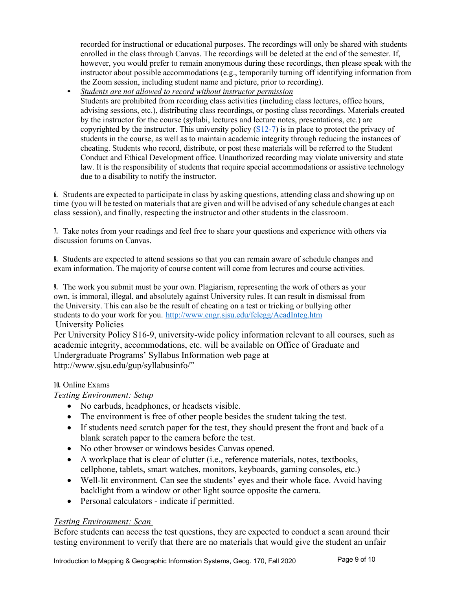recorded for instructional or educational purposes. The recordings will only be shared with students enrolled in the class through Canvas. The recordings will be deleted at the end of the semester. If, however, you would prefer to remain anonymous during these recordings, then please speak with the instructor about possible accommodations (e.g., temporarily turning off identifying information from the Zoom session, including student name and picture, prior to recording).

• *Students are not allowed to record without instructor permission* Students are prohibited from recording class activities (including class lectures, office hours, advising sessions, etc.), distributing class recordings, or posting class recordings. Materials created by the instructor for the course (syllabi, lectures and lecture notes, presentations, etc.) are copyrighted by the instructor. This university policy  $(S12-7)$  is in place to protect the privacy of students in the course, as well as to maintain academic integrity through reducing the instances of cheating. Students who record, distribute, or post these materials will be referred to the Student Conduct and Ethical Development office. Unauthorized recording may violate university and state law. It is the responsibility of students that require special accommodations or assistive technology due to a disability to notify the instructor.

**6.** Students are expected to participate in class by asking questions, attending class and showing up on time (you will be tested on materials that are given and will be advised of any schedule changes at each class session), and finally, respecting the instructor and other students in the classroom.

**7.** Take notes from your readings and feel free to share your questions and experience with others via discussion forums on Canvas.

**8.** Students are expected to attend sessions so that you can remain aware of schedule changes and exam information. The majority of course content will come from lectures and course activities.

**9.** The work you submit must be your own. Plagiarism, representing the work of others as your own, is immoral, illegal, and absolutely against University rules. It can result in dismissal from the University. This can also be the result of cheating on a test or tricking or bullying other students to do your work for you. http://www.engr.sjsu.edu/fclegg/AcadInteg.htm University Policies

Per University Policy S16-9, university-wide policy information relevant to all courses, such as academic integrity, accommodations, etc. will be available on Office of Graduate and Undergraduate Programs' Syllabus Information web page at http://www.sjsu.edu/gup/syllabusinfo/"

#### **10.** Online Exams

## *Testing Environment: Setup*

- No earbuds, headphones, or headsets visible.
- The environment is free of other people besides the student taking the test.
- If students need scratch paper for the test, they should present the front and back of a blank scratch paper to the camera before the test.
- No other browser or windows besides Canvas opened.
- A workplace that is clear of clutter (i.e., reference materials, notes, textbooks, cellphone, tablets, smart watches, monitors, keyboards, gaming consoles, etc.)
- Well-lit environment. Can see the students' eyes and their whole face. Avoid having backlight from a window or other light source opposite the camera.
- Personal calculators indicate if permitted.

## *Testing Environment: Scan*

Before students can access the test questions, they are expected to conduct a scan around their testing environment to verify that there are no materials that would give the student an unfair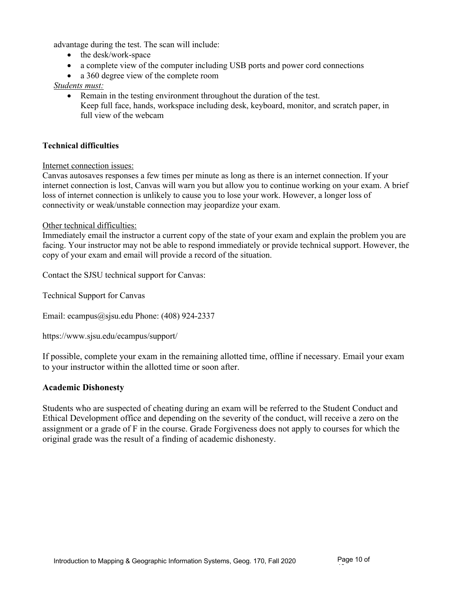advantage during the test. The scan will include:

- the desk/work-space
- a complete view of the computer including USB ports and power cord connections
- a 360 degree view of the complete room

#### *Students must:*

• Remain in the testing environment throughout the duration of the test. Keep full face, hands, workspace including desk, keyboard, monitor, and scratch paper, in full view of the webcam

#### **Technical difficulties**

#### Internet connection issues:

Canvas autosaves responses a few times per minute as long as there is an internet connection. If your internet connection is lost, Canvas will warn you but allow you to continue working on your exam. A brief loss of internet connection is unlikely to cause you to lose your work. However, a longer loss of connectivity or weak/unstable connection may jeopardize your exam.

#### Other technical difficulties:

Immediately email the instructor a current copy of the state of your exam and explain the problem you are facing. Your instructor may not be able to respond immediately or provide technical support. However, the copy of your exam and email will provide a record of the situation.

Contact the SJSU technical support for Canvas:

Technical Support for Canvas

Email: ecampus@sjsu.edu Phone: (408) 924-2337

https://www.sjsu.edu/ecampus/support/

If possible, complete your exam in the remaining allotted time, offline if necessary. Email your exam to your instructor within the allotted time or soon after.

#### **Academic Dishonesty**

Students who are suspected of cheating during an exam will be referred to the Student Conduct and Ethical Development office and depending on the severity of the conduct, will receive a zero on the assignment or a grade of F in the course. Grade Forgiveness does not apply to courses for which the original grade was the result of a finding of academic dishonesty.

10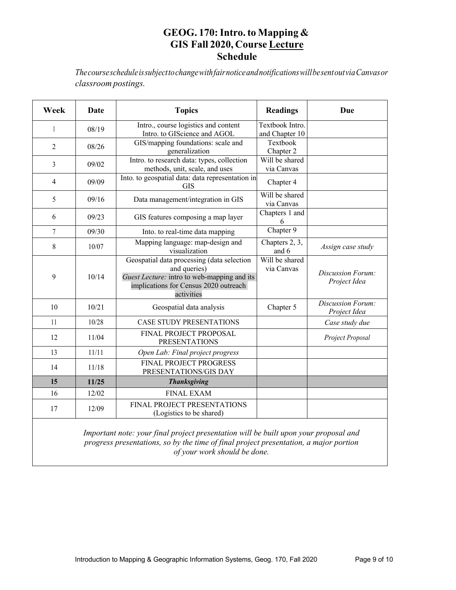# **GEOG. 170:Intro. to Mapping & GIS Fall 2020, Course Lecture Schedule**

*ThecoursescheduleissubjecttochangewithfairnoticeandnotificationswillbesentoutviaCanvasor classroom postings.*

| Week           | Date  | <b>Topics</b>                                                                                                                                                    | <b>Readings</b>                   | Due                               |
|----------------|-------|------------------------------------------------------------------------------------------------------------------------------------------------------------------|-----------------------------------|-----------------------------------|
| $\mathbf{1}$   | 08/19 | Intro., course logistics and content<br>Intro. to GIScience and AGOL                                                                                             | Textbook Intro.<br>and Chapter 10 |                                   |
| $\overline{2}$ | 08/26 | GIS/mapping foundations: scale and<br>generalization                                                                                                             | Textbook<br>Chapter 2             |                                   |
| 3              | 09/02 | Intro. to research data: types, collection<br>methods, unit, scale, and uses                                                                                     | Will be shared<br>via Canvas      |                                   |
| $\overline{4}$ | 09/09 | Into. to geospatial data: data representation in<br><b>GIS</b>                                                                                                   | Chapter 4                         |                                   |
| 5              | 09/16 | Data management/integration in GIS                                                                                                                               | Will be shared<br>via Canvas      |                                   |
| 6              | 09/23 | GIS features composing a map layer                                                                                                                               | Chapters 1 and<br>6               |                                   |
| 7              | 09/30 | Into. to real-time data mapping                                                                                                                                  | Chapter 9                         |                                   |
| 8              | 10/07 | Mapping language: map-design and<br>visualization                                                                                                                | Chapters 2, 3,<br>and 6           | Assign case study                 |
| 9              | 10/14 | Geospatial data processing (data selection<br>and queries)<br>Guest Lecture: intro to web-mapping and its<br>implications for Census 2020 outreach<br>activities | Will be shared<br>via Canvas      | Discussion Forum:<br>Project Idea |
| 10             | 10/21 | Geospatial data analysis                                                                                                                                         | Chapter 5                         | Discussion Forum:<br>Project Idea |
| 11             | 10/28 | <b>CASE STUDY PRESENTATIONS</b>                                                                                                                                  |                                   | Case study due                    |
| 12             | 11/04 | FINAL PROJECT PROPOSAL<br><b>PRESENTATIONS</b>                                                                                                                   |                                   | Project Proposal                  |
| 13             | 11/11 | Open Lab: Final project progress                                                                                                                                 |                                   |                                   |
| 14             | 11/18 | FINAL PROJECT PROGRESS<br>PRESENTATIONS/GIS DAY                                                                                                                  |                                   |                                   |
| 15             | 11/25 | <b>Thanksgiving</b>                                                                                                                                              |                                   |                                   |
| 16             | 12/02 | <b>FINAL EXAM</b>                                                                                                                                                |                                   |                                   |
| 17             | 12/09 | FINAL PROJECT PRESENTATIONS<br>(Logistics to be shared)                                                                                                          |                                   |                                   |

*Important note: your final project presentation will be built upon your proposal and progress presentations, so by the time of final project presentation, a major portion of your work should be done.*